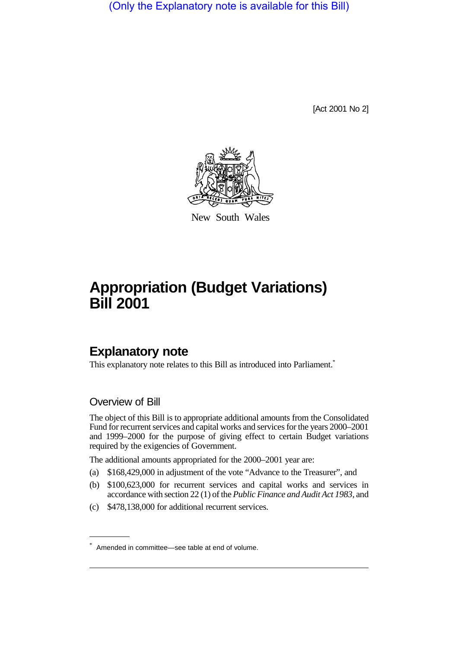(Only the Explanatory note is available for this Bill)

[Act 2001 No 2]



New South Wales

# **Appropriation (Budget Variations) Bill 2001**

# **Explanatory note**

This explanatory note relates to this Bill as introduced into Parliament.<sup>\*</sup>

## Overview of Bill

The object of this Bill is to appropriate additional amounts from the Consolidated Fund for recurrent services and capital works and services for the years 2000–2001 and 1999–2000 for the purpose of giving effect to certain Budget variations required by the exigencies of Government.

The additional amounts appropriated for the 2000–2001 year are:

- (a) \$168,429,000 in adjustment of the vote "Advance to the Treasurer", and
- (b) \$100,623,000 for recurrent services and capital works and services in accordance with section 22 (1) of the *Public Finance and Audit Act 1983*, and
- (c) \$478,138,000 for additional recurrent services.

<sup>\*</sup> Amended in committee—see table at end of volume.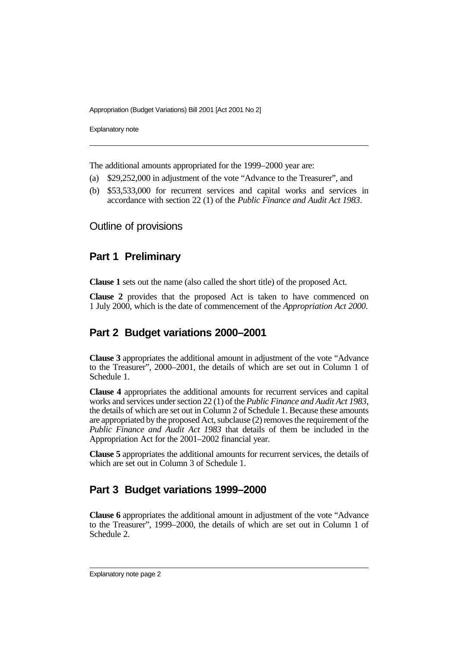Appropriation (Budget Variations) Bill 2001 [Act 2001 No 2]

Explanatory note

The additional amounts appropriated for the 1999–2000 year are:

- (a) \$29,252,000 in adjustment of the vote "Advance to the Treasurer", and
- (b) \$53,533,000 for recurrent services and capital works and services in accordance with section 22 (1) of the *Public Finance and Audit Act 1983*.

#### Outline of provisions

#### **Part 1 Preliminary**

**Clause 1** sets out the name (also called the short title) of the proposed Act.

**Clause 2** provides that the proposed Act is taken to have commenced on 1 July 2000, which is the date of commencement of the *Appropriation Act 2000*.

#### **Part 2 Budget variations 2000–2001**

**Clause 3** appropriates the additional amount in adjustment of the vote "Advance to the Treasurer", 2000–2001, the details of which are set out in Column 1 of Schedule 1.

**Clause 4** appropriates the additional amounts for recurrent services and capital works and services under section 22 (1) of the *Public Finance and Audit Act 1983*, the details of which are set out in Column 2 of Schedule 1. Because these amounts are appropriated by the proposed Act, subclause (2) removes the requirement of the *Public Finance and Audit Act 1983* that details of them be included in the Appropriation Act for the 2001–2002 financial year.

**Clause 5** appropriates the additional amounts for recurrent services, the details of which are set out in Column 3 of Schedule 1.

## **Part 3 Budget variations 1999–2000**

**Clause 6** appropriates the additional amount in adjustment of the vote "Advance to the Treasurer", 1999–2000, the details of which are set out in Column 1 of Schedule 2.